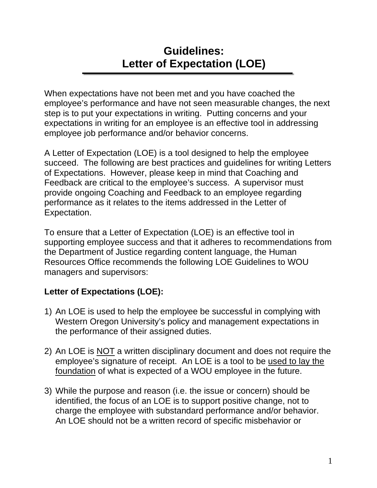# **Guidelines: Letter of Expectation (LOE)**

When expectations have not been met and you have coached the employee's performance and have not seen measurable changes, the next step is to put your expectations in writing. Putting concerns and your expectations in writing for an employee is an effective tool in addressing employee job performance and/or behavior concerns.

A Letter of Expectation (LOE) is a tool designed to help the employee succeed. The following are best practices and guidelines for writing Letters of Expectations. However, please keep in mind that Coaching and Feedback are critical to the employee's success. A supervisor must provide ongoing Coaching and Feedback to an employee regarding performance as it relates to the items addressed in the Letter of Expectation.

To ensure that a Letter of Expectation (LOE) is an effective tool in supporting employee success and that it adheres to recommendations from the Department of Justice regarding content language, the Human Resources Office recommends the following LOE Guidelines to WOU managers and supervisors:

# **Letter of Expectations (LOE):**

- 1) An LOE is used to help the employee be successful in complying with Western Oregon University's policy and management expectations in the performance of their assigned duties.
- 2) An LOE is NOT a written disciplinary document and does not require the employee's signature of receipt. An LOE is a tool to be used to lay the foundation of what is expected of a WOU employee in the future.
- 3) While the purpose and reason (i.e. the issue or concern) should be identified, the focus of an LOE is to support positive change, not to charge the employee with substandard performance and/or behavior. An LOE should not be a written record of specific misbehavior or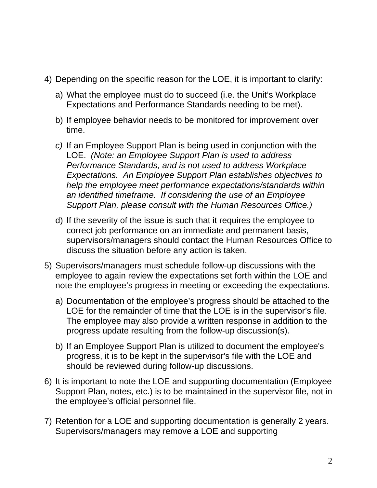- 4) Depending on the specific reason for the LOE, it is important to clarify:
	- a) What the employee must do to succeed (i.e. the Unit's Workplace Expectations and Performance Standards needing to be met).
	- b) If employee behavior needs to be monitored for improvement over time.
	- *c)* If an Employee Support Plan is being used in conjunction with the LOE. *(Note: an Employee Support Plan is used to address Performance Standards, and is not used to address Workplace Expectations. An Employee Support Plan establishes objectives to help the employee meet performance expectations/standards within an identified timeframe. If considering the use of an Employee Support Plan, please consult with the Human Resources Office.)*
	- d) If the severity of the issue is such that it requires the employee to correct job performance on an immediate and permanent basis, supervisors/managers should contact the Human Resources Office to discuss the situation before any action is taken.
- 5) Supervisors/managers must schedule follow-up discussions with the employee to again review the expectations set forth within the LOE and note the employee's progress in meeting or exceeding the expectations.
	- a) Documentation of the employee's progress should be attached to the LOE for the remainder of time that the LOE is in the supervisor's file. The employee may also provide a written response in addition to the progress update resulting from the follow-up discussion(s).
	- b) If an Employee Support Plan is utilized to document the employee's progress, it is to be kept in the supervisor's file with the LOE and should be reviewed during follow-up discussions.
- 6) It is important to note the LOE and supporting documentation (Employee Support Plan, notes, etc.) is to be maintained in the supervisor file, not in the employee's official personnel file.
- 7) Retention for a LOE and supporting documentation is generally 2 years. Supervisors/managers may remove a LOE and supporting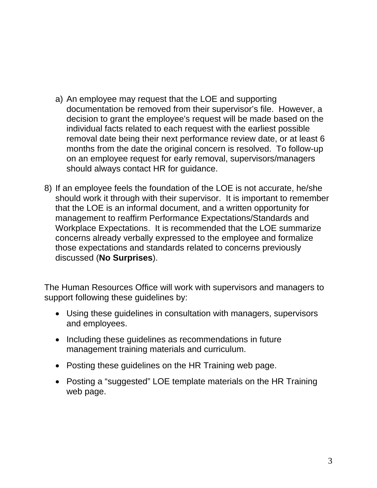- a) An employee may request that the LOE and supporting documentation be removed from their supervisor's file. However, a decision to grant the employee's request will be made based on the individual facts related to each request with the earliest possible removal date being their next performance review date, or at least 6 months from the date the original concern is resolved. To follow-up on an employee request for early removal, supervisors/managers should always contact HR for guidance.
- 8) If an employee feels the foundation of the LOE is not accurate, he/she should work it through with their supervisor. It is important to remember that the LOE is an informal document, and a written opportunity for management to reaffirm Performance Expectations/Standards and Workplace Expectations. It is recommended that the LOE summarize concerns already verbally expressed to the employee and formalize those expectations and standards related to concerns previously discussed (**No Surprises**).

The Human Resources Office will work with supervisors and managers to support following these guidelines by:

- Using these guidelines in consultation with managers, supervisors and employees.
- Including these quidelines as recommendations in future management training materials and curriculum.
- Posting these guidelines on the HR Training web page.
- Posting a "suggested" LOE template materials on the HR Training web page.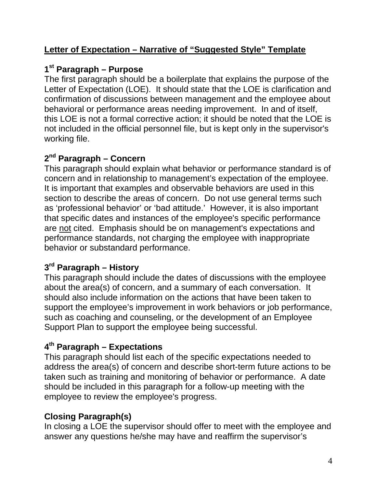#### **Letter of Expectation – Narrative of "Suggested Style" Template**

#### **1st Paragraph – Purpose**

The first paragraph should be a boilerplate that explains the purpose of the Letter of Expectation (LOE). It should state that the LOE is clarification and confirmation of discussions between management and the employee about behavioral or performance areas needing improvement. In and of itself, this LOE is not a formal corrective action; it should be noted that the LOE is not included in the official personnel file, but is kept only in the supervisor's working file.

# **2nd Paragraph – Concern**

This paragraph should explain what behavior or performance standard is of concern and in relationship to management's expectation of the employee. It is important that examples and observable behaviors are used in this section to describe the areas of concern. Do not use general terms such as 'professional behavior' or 'bad attitude.' However, it is also important that specific dates and instances of the employee's specific performance are not cited. Emphasis should be on management's expectations and performance standards, not charging the employee with inappropriate behavior or substandard performance.

## **3rd Paragraph – History**

This paragraph should include the dates of discussions with the employee about the area(s) of concern, and a summary of each conversation. It should also include information on the actions that have been taken to support the employee's improvement in work behaviors or job performance, such as coaching and counseling, or the development of an Employee Support Plan to support the employee being successful.

#### **4th Paragraph – Expectations**

This paragraph should list each of the specific expectations needed to address the area(s) of concern and describe short-term future actions to be taken such as training and monitoring of behavior or performance. A date should be included in this paragraph for a follow-up meeting with the employee to review the employee's progress.

## **Closing Paragraph(s)**

In closing a LOE the supervisor should offer to meet with the employee and answer any questions he/she may have and reaffirm the supervisor's